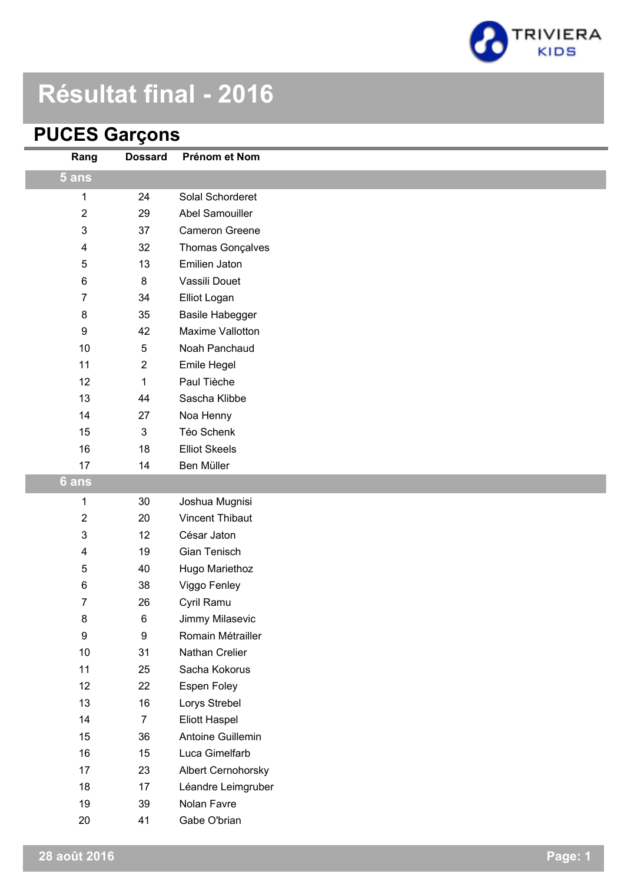

# **Résultat final - 2016**

## **PUCES Garçons**

| Rang                    | <b>Dossard</b>            | Prénom et Nom          |
|-------------------------|---------------------------|------------------------|
| 5 ans                   |                           |                        |
| 1                       | 24                        | Solal Schorderet       |
| 2                       | 29                        | Abel Samouiller        |
| 3                       | 37                        | Cameron Greene         |
| 4                       | 32                        | Thomas Gonçalves       |
| 5                       | 13                        | Emilien Jaton          |
| 6                       | 8                         | Vassili Douet          |
| 7                       | 34                        | Elliot Logan           |
| 8                       | 35                        | <b>Basile Habegger</b> |
| 9                       | 42                        | Maxime Vallotton       |
| 10                      | 5                         | Noah Panchaud          |
| 11                      | $\overline{\mathbf{c}}$   | Emile Hegel            |
| 12                      | 1                         | Paul Tièche            |
| 13                      | 44                        | Sascha Klibbe          |
| 14                      | 27                        | Noa Henny              |
| 15                      | $\ensuremath{\mathsf{3}}$ | Téo Schenk             |
| 16                      | 18                        | <b>Elliot Skeels</b>   |
| 17                      | 14                        | Ben Müller             |
| 6 ans                   |                           |                        |
| 1                       | 30                        | Joshua Mugnisi         |
| $\overline{c}$          | 20                        | <b>Vincent Thibaut</b> |
| 3                       | 12                        | César Jaton            |
| $\overline{\mathbf{4}}$ | 19                        | Gian Tenisch           |
| $\sqrt{5}$              | 40                        | Hugo Mariethoz         |
| 6                       | 38                        | Viggo Fenley           |
| 7                       | 26                        | Cyril Ramu             |
| 8                       | $\,6$                     | Jimmy Milasevic        |
| $\boldsymbol{9}$        | $\boldsymbol{9}$          | Romain Métrailler      |
| 10                      | 31                        | Nathan Crelier         |
| 11                      | 25                        | Sacha Kokorus          |
| 12                      | 22                        | Espen Foley            |
| 13                      | 16                        | Lorys Strebel          |
| 14                      | $\overline{7}$            | Eliott Haspel          |
| 15                      | 36                        | Antoine Guillemin      |
| 16                      | 15                        | Luca Gimelfarb         |
| 17                      | 23                        | Albert Cernohorsky     |
| 18                      | 17                        | Léandre Leimgruber     |
| 19                      | 39                        | Nolan Favre            |
| $20\,$                  | 41                        | Gabe O'brian           |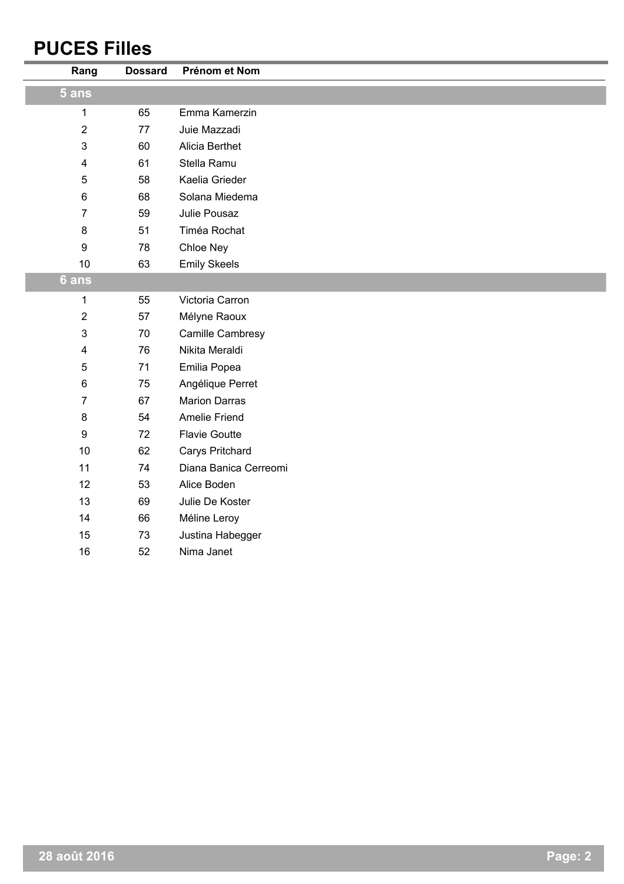## **PUCES Filles**

| Rang                    | <b>Dossard</b> | Prénom et Nom         |
|-------------------------|----------------|-----------------------|
| 5 ans                   |                |                       |
| 1                       | 65             | Emma Kamerzin         |
| $\overline{2}$          | 77             | Juie Mazzadi          |
| $\mathfrak{S}$          | 60             | Alicia Berthet        |
| $\overline{\mathbf{4}}$ | 61             | Stella Ramu           |
| 5                       | 58             | Kaelia Grieder        |
| 6                       | 68             | Solana Miedema        |
| $\overline{7}$          | 59             | Julie Pousaz          |
| 8                       | 51             | Timéa Rochat          |
| 9                       | 78             | Chloe Ney             |
| 10                      | 63             | <b>Emily Skeels</b>   |
| 6 ans                   |                |                       |
| 1                       | 55             | Victoria Carron       |
| $\overline{2}$          | 57             | Mélyne Raoux          |
| $\mathfrak{S}$          | 70             | Camille Cambresy      |
| $\overline{\mathbf{4}}$ | 76             | Nikita Meraldi        |
| 5                       | 71             | Emilia Popea          |
| $\,6$                   | 75             | Angélique Perret      |
| $\overline{7}$          | 67             | <b>Marion Darras</b>  |
| 8                       | 54             | <b>Amelie Friend</b>  |
| 9                       | 72             | <b>Flavie Goutte</b>  |
| 10                      | 62             | Carys Pritchard       |
| 11                      | 74             | Diana Banica Cerreomi |
| 12                      | 53             | Alice Boden           |
| 13                      | 69             | Julie De Koster       |
| 14                      | 66             | Méline Leroy          |
| 15                      | 73             | Justina Habegger      |
| 16                      | 52             | Nima Janet            |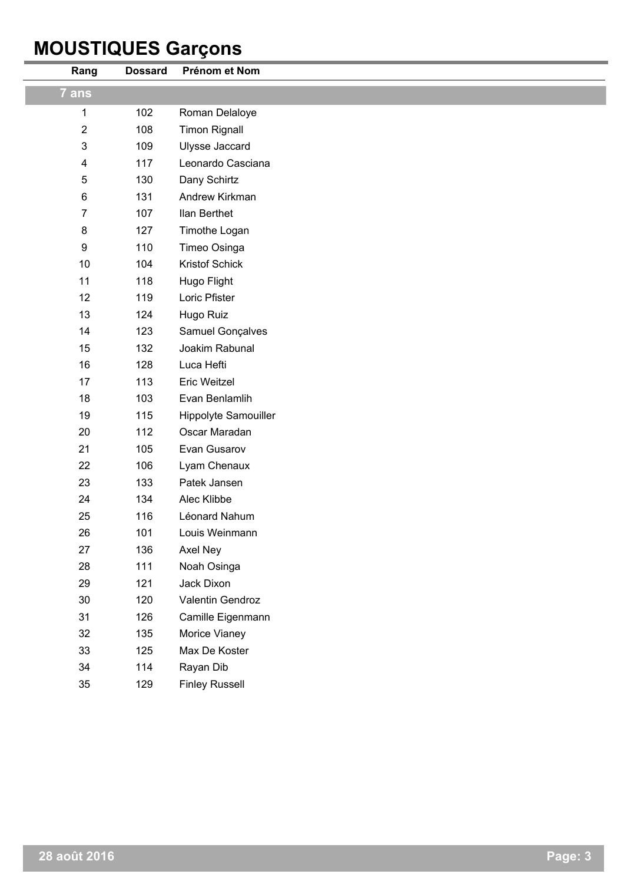## **MOUSTIQUES Garçons**

| Rang                      | <b>Dossard</b> | Prénom et Nom         |
|---------------------------|----------------|-----------------------|
| 7 ans                     |                |                       |
| 1                         | 102            | Roman Delaloye        |
| $\mathbf 2$               | 108            | <b>Timon Rignall</b>  |
| $\ensuremath{\mathsf{3}}$ | 109            | Ulysse Jaccard        |
| $\overline{\mathbf{4}}$   | 117            | Leonardo Casciana     |
| $\mathbf 5$               | 130            | Dany Schirtz          |
| 6                         | 131            | Andrew Kirkman        |
| $\overline{7}$            | 107            | Ilan Berthet          |
| 8                         | 127            | Timothe Logan         |
| $\boldsymbol{9}$          | 110            | Timeo Osinga          |
| 10                        | 104            | Kristof Schick        |
| 11                        | 118            | Hugo Flight           |
| 12                        | 119            | Loric Pfister         |
| 13                        | 124            | Hugo Ruiz             |
| 14                        | 123            | Samuel Gonçalves      |
| 15                        | 132            | Joakim Rabunal        |
| 16                        | 128            | Luca Hefti            |
| 17                        | 113            | Eric Weitzel          |
| 18                        | 103            | Evan Benlamlih        |
| 19                        | 115            | Hippolyte Samouiller  |
| 20                        | 112            | Oscar Maradan         |
| 21                        | 105            | Evan Gusarov          |
| 22                        | 106            | Lyam Chenaux          |
| 23                        | 133            | Patek Jansen          |
| 24                        | 134            | Alec Klibbe           |
| 25                        | 116            | Léonard Nahum         |
| 26                        | 101            | Louis Weinmann        |
| 27                        | 136            | Axel Ney              |
| 28                        | 111            | Noah Osinga           |
| 29                        | 121            | Jack Dixon            |
| 30                        | 120            | Valentin Gendroz      |
| 31                        | 126            | Camille Eigenmann     |
| 32                        | 135            | Morice Vianey         |
| 33                        | 125            | Max De Koster         |
| 34                        | 114            | Rayan Dib             |
| 35                        | 129            | <b>Finley Russell</b> |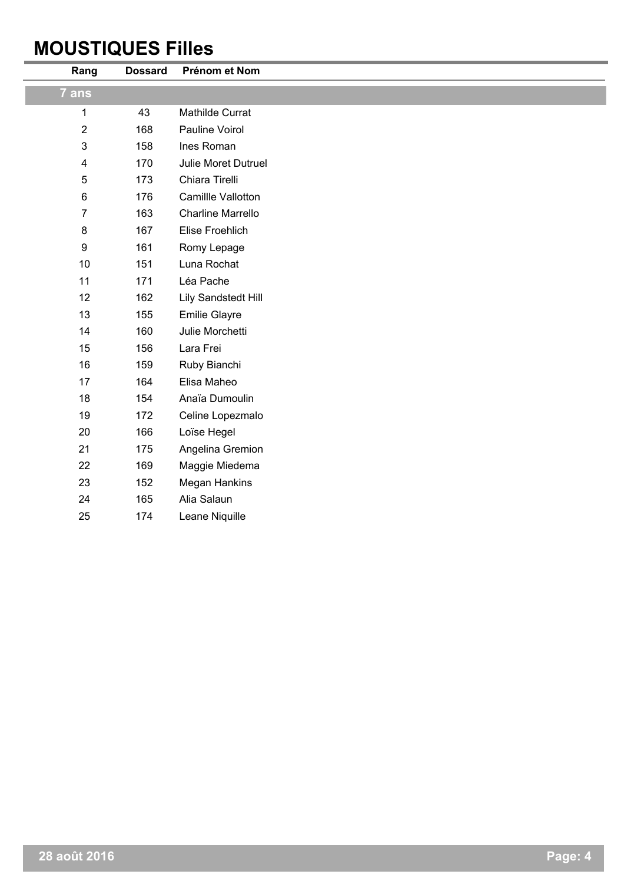## **MOUSTIQUES Filles**

i.

| Rang             | <b>Dossard</b> | Prénom et Nom            |
|------------------|----------------|--------------------------|
| 7 ans            |                |                          |
| 1                | 43             | Mathilde Currat          |
| $\overline{2}$   | 168            | Pauline Voirol           |
| $\mathfrak{S}$   | 158            | Ines Roman               |
| 4                | 170            | Julie Moret Dutruel      |
| 5                | 173            | Chiara Tirelli           |
| $\,6$            | 176            | Camillle Vallotton       |
| $\overline{7}$   | 163            | <b>Charline Marrello</b> |
| 8                | 167            | Elise Froehlich          |
| $\boldsymbol{9}$ | 161            | Romy Lepage              |
| 10               | 151            | Luna Rochat              |
| 11               | 171            | Léa Pache                |
| 12               | 162            | Lily Sandstedt Hill      |
| 13               | 155            | <b>Emilie Glayre</b>     |
| 14               | 160            | Julie Morchetti          |
| 15               | 156            | Lara Frei                |
| 16               | 159            | Ruby Bianchi             |
| 17               | 164            | Elisa Maheo              |
| 18               | 154            | Anaïa Dumoulin           |
| 19               | 172            | Celine Lopezmalo         |
| 20               | 166            | Loïse Hegel              |
| 21               | 175            | Angelina Gremion         |
| 22               | 169            | Maggie Miedema           |
| 23               | 152            | <b>Megan Hankins</b>     |
| 24               | 165            | Alia Salaun              |
| 25               | 174            | Leane Niquille           |
|                  |                |                          |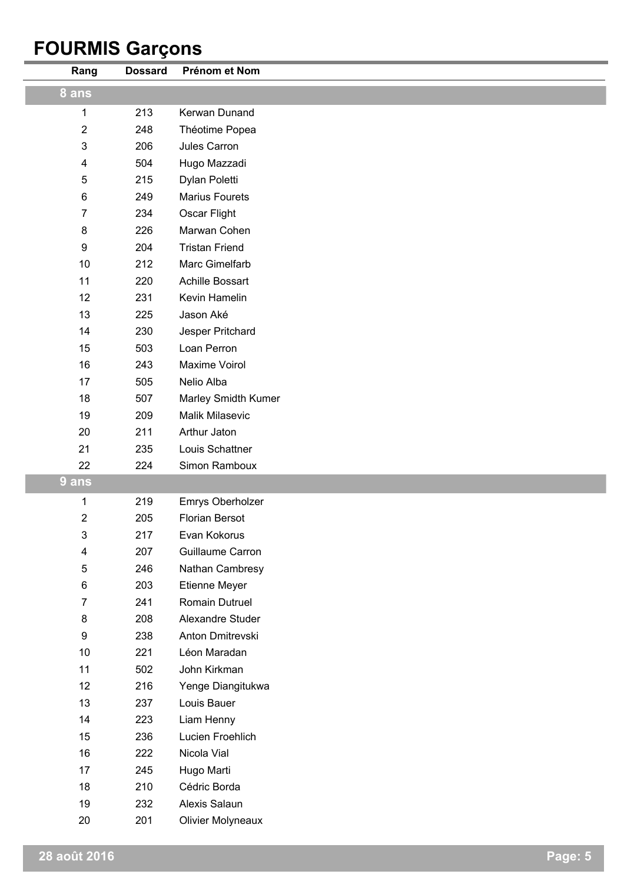# **FOURMIS Garçons**

| Rang             | <b>Dossard</b> | Prénom et Nom              |
|------------------|----------------|----------------------------|
| 8 ans            |                |                            |
| 1                | 213            | Kerwan Dunand              |
| $\sqrt{2}$       | 248            | Théotime Popea             |
| $\mathfrak{B}$   | 206            | Jules Carron               |
| 4                | 504            | Hugo Mazzadi               |
| 5                | 215            | Dylan Poletti              |
| $\,6$            | 249            | <b>Marius Fourets</b>      |
| $\overline{7}$   | 234            | Oscar Flight               |
| 8                | 226            | Marwan Cohen               |
| $\boldsymbol{9}$ | 204            | <b>Tristan Friend</b>      |
| 10               | 212            | Marc Gimelfarb             |
| 11               | 220            | Achille Bossart            |
| 12               | 231            | Kevin Hamelin              |
| 13               | 225            | Jason Aké                  |
| 14               | 230            | Jesper Pritchard           |
| 15               | 503            | Loan Perron                |
| 16               | 243            | Maxime Voirol              |
| 17               | 505            | Nelio Alba                 |
| 18               | 507            | <b>Marley Smidth Kumer</b> |
| 19               | 209            | Malik Milasevic            |
| 20               | 211            | Arthur Jaton               |
| 21               | 235            | Louis Schattner            |
| 22               | 224            | Simon Ramboux              |
| 9 ans            |                |                            |
| 1                | 219            | Emrys Oberholzer           |
| $\overline{2}$   | 205            | <b>Florian Bersot</b>      |
| 3                | 217            | Evan Kokorus               |
| 4                | 207            | Guillaume Carron           |
| $\sqrt{5}$       | 246            | Nathan Cambresy            |
| $\,6$            | 203            | Etienne Meyer              |
| 7                | 241            | Romain Dutruel             |
| $\bf 8$          | 208            | Alexandre Studer           |
| $\boldsymbol{9}$ | 238            | Anton Dmitrevski           |
| 10               | 221            | Léon Maradan               |
| 11               | 502            | John Kirkman               |
| 12               | 216            | Yenge Diangitukwa          |
| 13               | 237            | Louis Bauer                |
| 14               | 223            | Liam Henny                 |
| 15               | 236            | Lucien Froehlich           |
| 16               | 222            | Nicola Vial                |
| 17               | 245            | Hugo Marti                 |
| 18               | 210            | Cédric Borda               |
| 19               | 232            | Alexis Salaun              |
| 20               | 201            | <b>Olivier Molyneaux</b>   |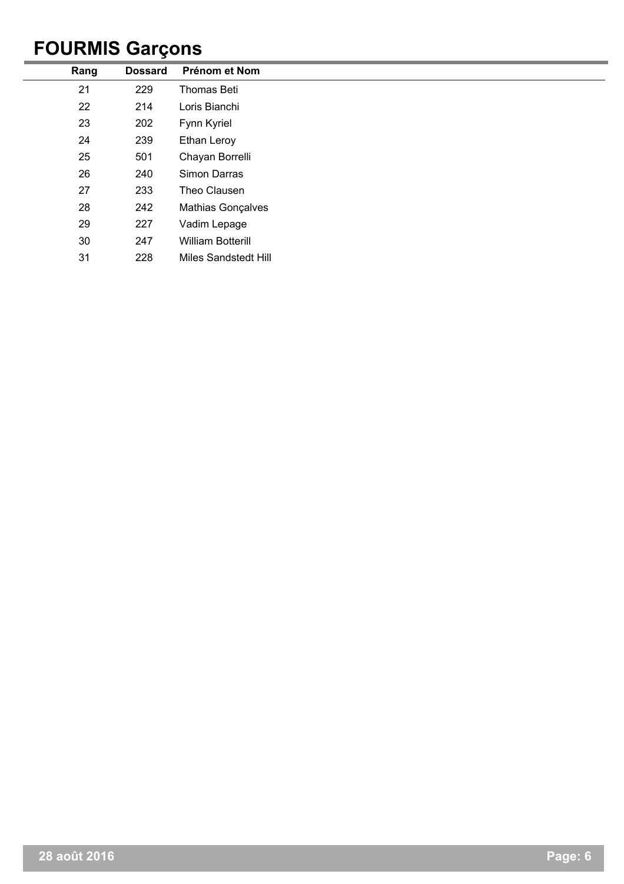## **FOURMIS Garçons**

| Rang | <b>Dossard</b> | Prénom et Nom               |
|------|----------------|-----------------------------|
| 21   | 229            | Thomas Beti                 |
| 22   | 214            | Loris Bianchi               |
| 23   | 202            | Fynn Kyriel                 |
| 24   | 239            | Ethan Leroy                 |
| 25   | 501            | Chayan Borrelli             |
| 26   | 240            | Simon Darras                |
| 27   | 233            | Theo Clausen                |
| 28   | 242            | <b>Mathias Gonçalves</b>    |
| 29   | 227            | Vadim Lepage                |
| 30   | 247            | <b>William Botterill</b>    |
| 31   | 228            | <b>Miles Sandstedt Hill</b> |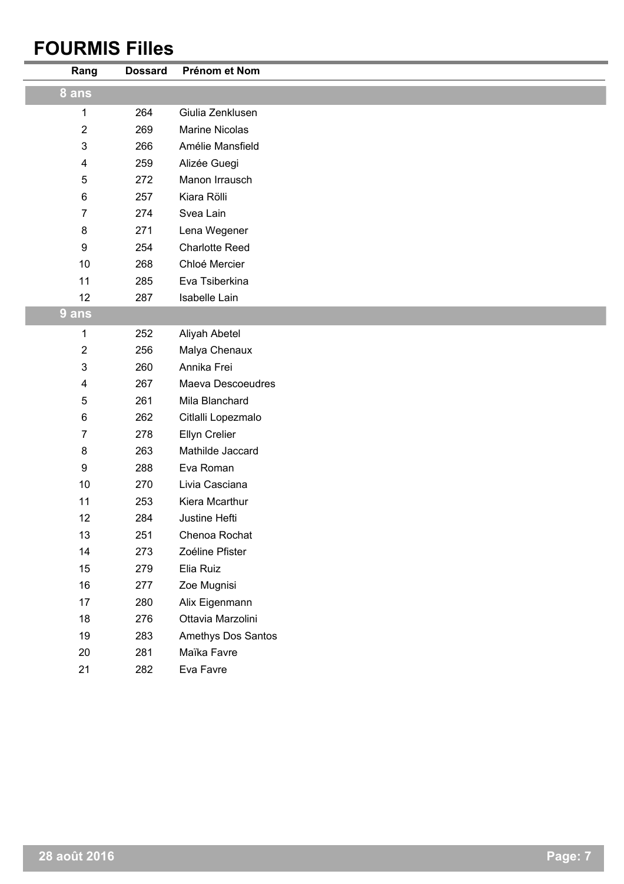## **FOURMIS Filles**

| Rang             | <b>Dossard</b> | Prénom et Nom         |
|------------------|----------------|-----------------------|
| 8 ans            |                |                       |
| 1                | 264            | Giulia Zenklusen      |
| $\sqrt{2}$       | 269            | <b>Marine Nicolas</b> |
| 3                | 266            | Amélie Mansfield      |
| 4                | 259            | Alizée Guegi          |
| $\sqrt{5}$       | 272            | Manon Irrausch        |
| 6                | 257            | Kiara Rölli           |
| 7                | 274            | Svea Lain             |
| $\bf 8$          | 271            | Lena Wegener          |
| $\boldsymbol{9}$ | 254            | <b>Charlotte Reed</b> |
| 10               | 268            | Chloé Mercier         |
| 11               | 285            | Eva Tsiberkina        |
| 12               | 287            | Isabelle Lain         |
| 9 ans            |                |                       |
| 1                | 252            | Aliyah Abetel         |
| $\sqrt{2}$       | 256            | Malya Chenaux         |
| 3                | 260            | Annika Frei           |
| 4                | 267            | Maeva Descoeudres     |
| $\sqrt{5}$       | 261            | Mila Blanchard        |
| 6                | 262            | Citlalli Lopezmalo    |
| 7                | 278            | Ellyn Crelier         |
| $\bf 8$          | 263            | Mathilde Jaccard      |
| $\boldsymbol{9}$ | 288            | Eva Roman             |
| 10               | 270            | Livia Casciana        |
| 11               | 253            | Kiera Mcarthur        |
| 12               | 284            | Justine Hefti         |
| 13               | 251            | Chenoa Rochat         |
| 14               | 273            | Zoéline Pfister       |
| 15               | 279            | Elia Ruiz             |
| 16               | 277            | Zoe Mugnisi           |
| 17               | 280            | Alix Eigenmann        |
| 18               | 276            | Ottavia Marzolini     |
| 19               | 283            | Amethys Dos Santos    |
| 20               | 281            | Maïka Favre           |
| 21               | 282            | Eva Favre             |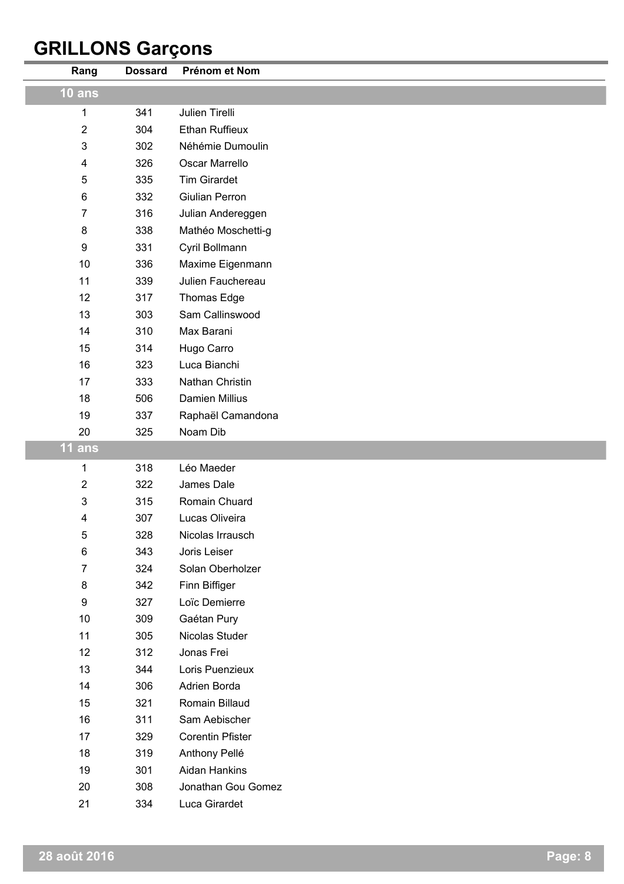# **GRILLONS Garçons**

| Rang             | <b>Dossard</b> | Prénom et Nom           |
|------------------|----------------|-------------------------|
| $10$ ans         |                |                         |
| 1                | 341            | Julien Tirelli          |
| $\overline{2}$   | 304            | <b>Ethan Ruffieux</b>   |
| 3                | 302            | Néhémie Dumoulin        |
| 4                | 326            | Oscar Marrello          |
| 5                | 335            | <b>Tim Girardet</b>     |
| 6                | 332            | <b>Giulian Perron</b>   |
| 7                | 316            | Julian Andereggen       |
| 8                | 338            | Mathéo Moschetti-g      |
| 9                | 331            | Cyril Bollmann          |
| 10               | 336            | Maxime Eigenmann        |
| 11               | 339            | Julien Fauchereau       |
| 12               | 317            | <b>Thomas Edge</b>      |
| 13               | 303            | Sam Callinswood         |
| 14               | 310            | Max Barani              |
| 15               | 314            | Hugo Carro              |
| 16               | 323            | Luca Bianchi            |
| 17               | 333            | Nathan Christin         |
| 18               | 506            | Damien Millius          |
| 19               | 337            | Raphaël Camandona       |
| 20               | 325            | Noam Dib                |
| 11 ans           |                |                         |
| 1                | 318            | Léo Maeder              |
| 2                | 322            | James Dale              |
| 3                | 315            | Romain Chuard           |
| 4                | 307            | Lucas Oliveira          |
| 5                | 328            | Nicolas Irrausch        |
| 6                | 343            | Joris Leiser            |
| 7                | 324            | Solan Oberholzer        |
| 8                | 342            | Finn Biffiger           |
| $\boldsymbol{9}$ | 327            | Loïc Demierre           |
| 10               | 309            | Gaétan Pury             |
| 11               | 305            | Nicolas Studer          |
| 12               | 312            | Jonas Frei              |
| 13               | 344            | Loris Puenzieux         |
| 14               | 306            | Adrien Borda            |
| 15               | 321            | Romain Billaud          |
| 16               | 311            | Sam Aebischer           |
| 17               | 329            | <b>Corentin Pfister</b> |
| 18               | 319            | Anthony Pellé           |
| 19               | 301            | Aidan Hankins           |
| 20               | 308            | Jonathan Gou Gomez      |
| 21               | 334            | Luca Girardet           |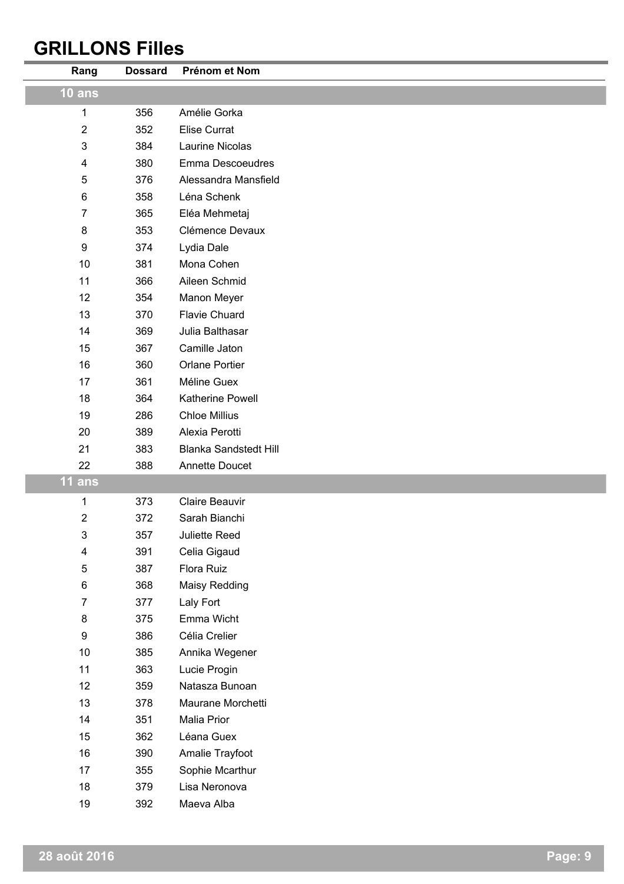## **GRILLONS Filles**

| Rang                    | <b>Dossard</b> | Prénom et Nom                |
|-------------------------|----------------|------------------------------|
| $10$ ans                |                |                              |
| $\mathbf 1$             | 356            | Amélie Gorka                 |
| $\boldsymbol{2}$        | 352            | <b>Elise Currat</b>          |
| $\mathfrak{B}$          | 384            | Laurine Nicolas              |
| 4                       | 380            | Emma Descoeudres             |
| 5                       | 376            | Alessandra Mansfield         |
| $\,6$                   | 358            | Léna Schenk                  |
| $\overline{7}$          | 365            | Eléa Mehmetaj                |
| $\bf 8$                 | 353            | Clémence Devaux              |
| $\boldsymbol{9}$        | 374            | Lydia Dale                   |
| 10                      | 381            | Mona Cohen                   |
| 11                      | 366            | Aileen Schmid                |
| 12                      | 354            | Manon Meyer                  |
| 13                      | 370            | <b>Flavie Chuard</b>         |
| 14                      | 369            | Julia Balthasar              |
| 15                      | 367            | Camille Jaton                |
| 16                      | 360            | <b>Orlane Portier</b>        |
| 17                      | 361            | Méline Guex                  |
| 18                      | 364            | Katherine Powell             |
| 19                      | 286            | <b>Chloe Millius</b>         |
| 20                      | 389            | Alexia Perotti               |
| 21                      | 383            | <b>Blanka Sandstedt Hill</b> |
| 22                      | 388            | Annette Doucet               |
| $11$ ans                |                |                              |
| $\mathbf 1$             | 373            | Claire Beauvir               |
| $\boldsymbol{2}$        | 372            | Sarah Bianchi                |
| 3                       | 357            | Juliette Reed                |
| $\overline{\mathbf{4}}$ | 391            | Celia Gigaud                 |
| $\mathbf 5$             | 387            | Flora Ruiz                   |
| 6                       | 368            | Maisy Redding                |
| $\overline{7}$          | 377            | Laly Fort                    |
| $\bf 8$                 | 375            | Emma Wicht                   |
| $\boldsymbol{9}$        | 386            | Célia Crelier                |
| 10                      | 385            | Annika Wegener               |
| 11                      | 363            | Lucie Progin                 |
| 12                      | 359            | Natasza Bunoan               |
| 13                      | 378            | Maurane Morchetti            |
| 14                      | 351            | Malia Prior                  |
| 15                      | 362            | Léana Guex                   |
| 16                      | 390            | Amalie Trayfoot              |
| 17                      | 355            | Sophie Mcarthur              |
| 18                      | 379            | Lisa Neronova                |
| 19                      | 392            | Maeva Alba                   |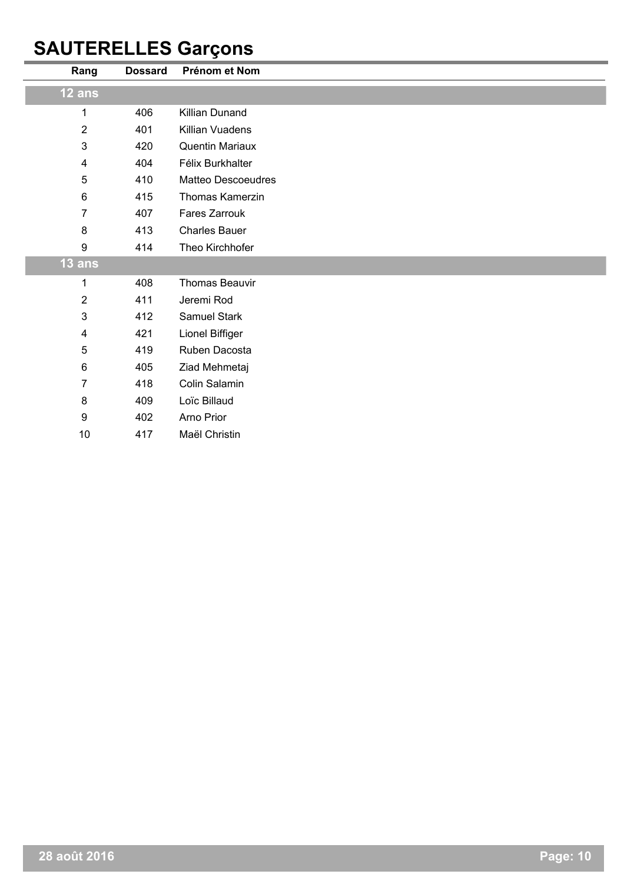## **SAUTERELLES Garçons**

| Rang                    | <b>Dossard</b> | Prénom et Nom             |
|-------------------------|----------------|---------------------------|
| 12 ans                  |                |                           |
| 1                       | 406            | Killian Dunand            |
| $\overline{2}$          | 401            | Killian Vuadens           |
| 3                       | 420            | Quentin Mariaux           |
| 4                       | 404            | Félix Burkhalter          |
| 5                       | 410            | <b>Matteo Descoeudres</b> |
| 6                       | 415            | Thomas Kamerzin           |
| $\overline{7}$          | 407            | Fares Zarrouk             |
| 8                       | 413            | <b>Charles Bauer</b>      |
| 9                       | 414            | Theo Kirchhofer           |
| $13$ ans                |                |                           |
| 1                       | 408            | <b>Thomas Beauvir</b>     |
| $\overline{\mathbf{c}}$ | 411            | Jeremi Rod                |
| 3                       | 412            | Samuel Stark              |
| 4                       | 421            | Lionel Biffiger           |
| 5                       | 419            | Ruben Dacosta             |
| $\,6\,$                 | 405            | Ziad Mehmetaj             |
| $\overline{7}$          | 418            | Colin Salamin             |
| 8                       | 409            | Loïc Billaud              |
| 9                       | 402            | Arno Prior                |
| 10                      | 417            | Maël Christin             |
|                         |                |                           |